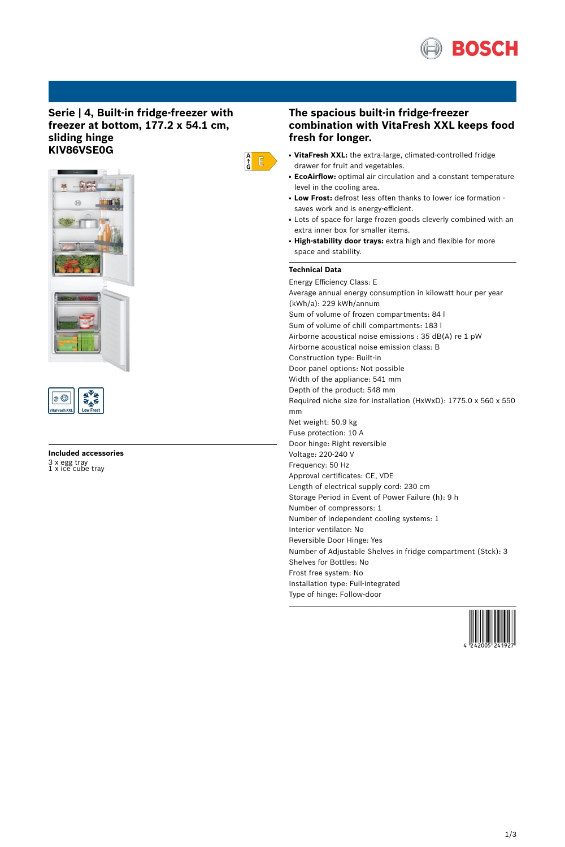

# **Serie | 4, Built-in fridge-freezer with freezer at bottom, 177.2 x 54.1 cm, sliding hinge KIV86VSE0G**







# **Included accessories** 3 x egg tray 1 x ice cube tray

# **The spacious built-in fridge-freezer combination with VitaFresh XXL keeps food fresh for longer.**

- **VitaFresh XXL:** the extra-large, climated-controlled fridge drawer for fruit and vegetables.
- **EcoAirflow:** optimal air circulation and a constant temperature level in the cooling area.
- Low Frost: defrost less often thanks to lower ice formation saves work and is energy-efficient.
- Lots of space for large frozen goods cleverly combined with an extra inner box for smaller items.
- **High-stability door trays:** extra high and flexible for more space and stability.

## **Technical Data**

 $\begin{array}{c} A \\ \uparrow \\ G \end{array}$   $\begin{array}{c} \square \\ \square \end{array}$ 

Energy Efficiency Class: E Average annual energy consumption in kilowatt hour per year (kWh/a): 229 kWh/annum Sum of volume of frozen compartments: 84 l Sum of volume of chill compartments: 183 l Airborne acoustical noise emissions : 35 dB(A) re 1 pW Airborne acoustical noise emission class: B Construction type: Built-in Door panel options: Not possible Width of the appliance: 541 mm Depth of the product: 548 mm Required niche size for installation (HxWxD): 1775.0 x 560 x 550 mm Net weight: 50.9 kg Fuse protection: 10 A Door hinge: Right reversible Voltage: 220-240 V Frequency: 50 Hz Approval certificates: CE, VDE Length of electrical supply cord: 230 cm Storage Period in Event of Power Failure (h): 9 h Number of compressors: 1 Number of independent cooling systems: 1 Interior ventilator: No Reversible Door Hinge: Yes Number of Adjustable Shelves in fridge compartment (Stck): 3 Shelves for Bottles: No Frost free system: No Installation type: Full-integrated Type of hinge: Follow-door

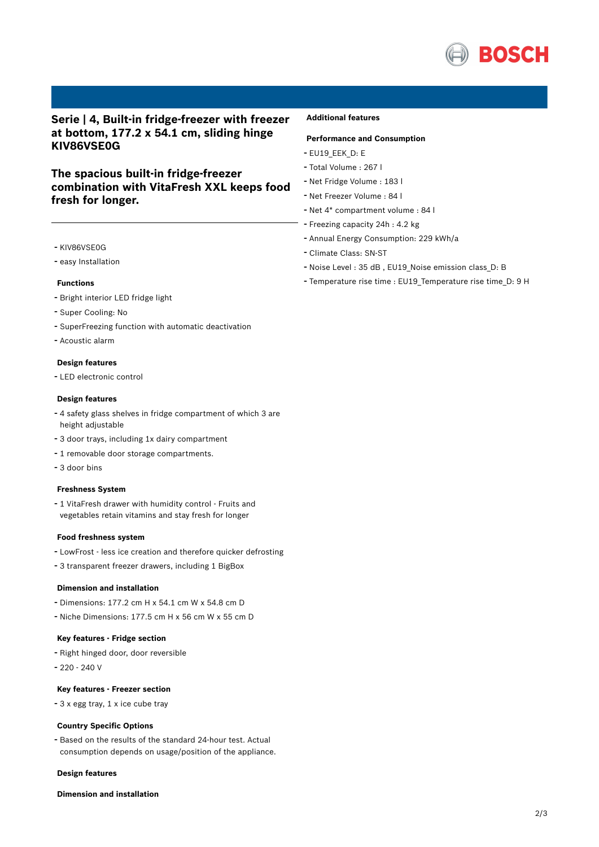

# **Serie | 4, Built-in fridge-freezer with freezer at bottom, 177.2 x 54.1 cm, sliding hinge KIV86VSE0G**

# **The spacious built-in fridge-freezer combination with VitaFresh XXL keeps food fresh for longer.**

- KIV86VSE0G
- easy Installation

### **Functions**

- Bright interior LED fridge light
- Super Cooling: No
- SuperFreezing function with automatic deactivation
- Acoustic alarm

#### **Design features**

- LED electronic control

#### **Design features**

- <sup>4</sup> safety glass shelves in fridge compartment of which <sup>3</sup> are height adjustable
- <sup>3</sup> door trays, including 1x dairy compartment
- <sup>1</sup> removable door storage compartments.
- 3 door bins

### **Freshness System**

- <sup>1</sup> VitaFresh drawer with humidity control - Fruits and vegetables retain vitamins and stay fresh for longer

#### **Food freshness system**

- LowFrost less ice creation and therefore quicker defrosting
- <sup>3</sup> transparent freezer drawers, including <sup>1</sup> BigBox

### **Dimension and installation**

- Dimensions: 177.2 cm H x 54.1 cm W x 54.8 cm D
- Niche Dimensions: 177.5 cm <sup>H</sup> <sup>x</sup> <sup>56</sup> cm <sup>W</sup> <sup>x</sup> <sup>55</sup> cm <sup>D</sup>

### **Key features - Fridge section**

- Right hinged door, door reversible
- 220 240 V

### **Key features - Freezer section**

- <sup>3</sup> <sup>x</sup> egg tray, <sup>1</sup> <sup>x</sup> ice cube tray

#### **Country Specific Options**

- Based on the results of the standard 24-hour test. Actual consumption depends on usage/position of the appliance.

#### **Design features**

### **Dimension and installation**

## **Additional features**

## **Performance and Consumption**

- EU19\_EEK\_D: E
- Total Volume : <sup>267</sup> <sup>l</sup>
- Net Fridge Volume : <sup>183</sup> <sup>l</sup>
- Net Freezer Volume : <sup>84</sup> <sup>l</sup>
- Net 4\* compartment volume : <sup>84</sup> <sup>l</sup>
- Freezing capacity 24h : 4.2 kg
- Annual Energy Consumption: <sup>229</sup> kWh/a
- Climate Class: SN-ST
- Noise Level : <sup>35</sup> dB , EU19\_Noise emission class\_D: <sup>B</sup>
- Temperature rise time : EU19\_Temperature rise time\_D: <sup>9</sup> <sup>H</sup>